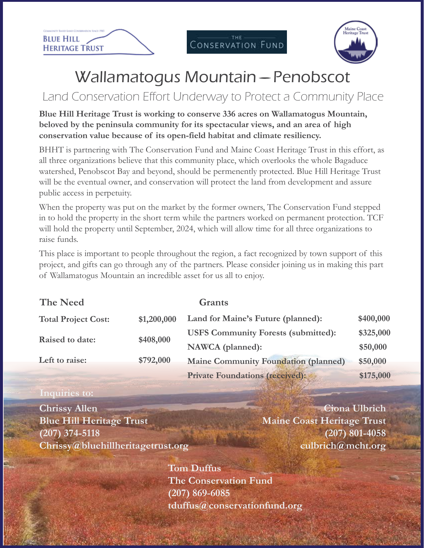



## Wallamatogus Mountain – Penobscot

### Land Conservation Effort Underway to Protect a Community Place

#### **Blue Hill Heritage Trust is working to conserve 336 acres on Wallamatogus Mountain, beloved by the peninsula community for its spectacular views, and an area of high conservation value because of its open-field habitat and climate resiliency.**

BHHT is partnering with The Conservation Fund and Maine Coast Heritage Trust in this effort, as all three organizations believe that this community place, which overlooks the whole Bagaduce watershed, Penobscot Bay and beyond, should be permenently protected. Blue Hill Heritage Trust will be the eventual owner, and conservation will protect the land from development and assure public access in perpetuity.

When the property was put on the market by the former owners, The Conservation Fund stepped in to hold the property in the short term while the partners worked on permanent protection. TCF will hold the property until September, 2024, which will allow time for all three organizations to raise funds.

This place is important to people throughout the region, a fact recognized by town support of this project, and gifts can go through any of the partners. Please consider joining us in making this part of Wallamatogus Mountain an incredible asset for us all to enjoy.

| <b>The Need</b>            |             | <b>Grants</b>                               |           |
|----------------------------|-------------|---------------------------------------------|-----------|
| <b>Total Project Cost:</b> | \$1,200,000 | Land for Maine's Future (planned):          | \$400,000 |
| Raised to date:            | \$408,000   | <b>USFS Community Forests (submitted):</b>  | \$325,000 |
|                            |             | NAWCA (planned):                            | \$50,000  |
| Left to raise:             | \$792,000   | <b>Maine Community Foundation (planned)</b> | \$50,000  |
|                            |             | <b>Private Foundations (received):</b>      | \$175,000 |

#### **Inquiries to:**

**Chrissy Allen Blue Hill Heritage Trust (207) 374-5118 Chrissy@bluehillheritagetrust.org**

**Ciona Ulbrich Maine Coast Heritage Trust (207) 801-4058 culbrich@mcht.org**

**Tom Duffus The Conservation Fund (207) 869-6085 tduffus@conservationfund.org**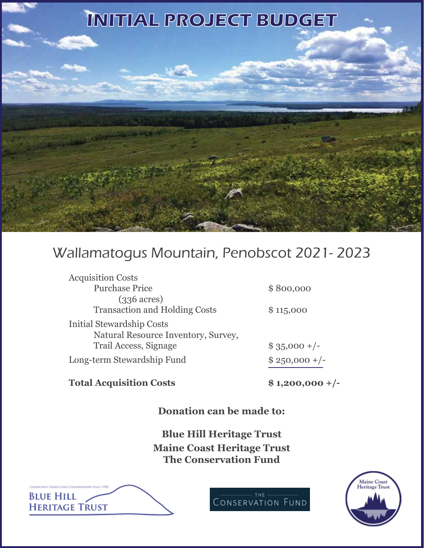

### Wallamatogus Mountain, Penobscot 2021- 2023

| <b>Acquisition Costs</b>             |                |
|--------------------------------------|----------------|
| <b>Purchase Price</b>                | \$800,000      |
| $(336 \, \text{acres})$              |                |
| <b>Transaction and Holding Costs</b> | \$115,000      |
| Initial Stewardship Costs            |                |
| Natural Resource Inventory, Survey,  |                |
| Trail Access, Signage                | $$35,000 +/-$  |
| Long-term Stewardship Fund           | $$250,000 +/-$ |
|                                      |                |

#### **Total Acquisition Costs \$ 1,200,000 +/-**

**Donation can be made to:**

**Blue Hill Heritage Trust Maine Coast Heritage Trust The Conservation Fund**